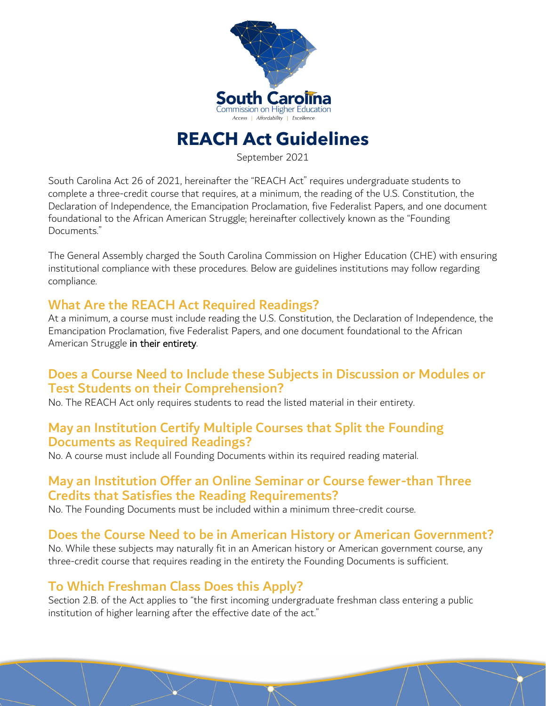

# **REACH Act Guidelines**

September 2021

South Carolina Act 26 of 2021, hereinafter the "REACH Act" requires undergraduate students to complete a three-credit course that requires, at a minimum, the reading of the U.S. Constitution, the Declaration of Independence, the Emancipation Proclamation, five Federalist Papers, and one document foundational to the African American Struggle; hereinafter collectively known as the "Founding Documents."

The General Assembly charged the South Carolina Commission on Higher Education (CHE) with ensuring institutional compliance with these procedures. Below are guidelines institutions may follow regarding compliance.

#### What Are the REACH Act Required Readings?

At a minimum, a course must include reading the U.S. Constitution, the Declaration of Independence, the Emancipation Proclamation, five Federalist Papers, and one document foundational to the African American Struggle in their entirety.

#### Does a Course Need to Include these Subjects in Discussion or Modules or Test Students on their Comprehension?

No. The REACH Act only requires students to read the listed material in their entirety.

#### May an Institution Certify Multiple Courses that Split the Founding Documents as Required Readings?

No. A course must include all Founding Documents within its required reading material.

#### May an Institution Offer an Online Seminar or Course fewer-than Three Credits that Satisfies the Reading Requirements?

No. The Founding Documents must be included within a minimum three-credit course.

### Does the Course Need to be in American History or American Government?

No. While these subjects may naturally fit in an American history or American government course, any three-credit course that requires reading in the entirety the Founding Documents is sufficient.

### To Which Freshman Class Does this Apply?

Section 2.B. of the Act applies to "the first incoming undergraduate freshman class entering a public institution of higher learning after the effective date of the act."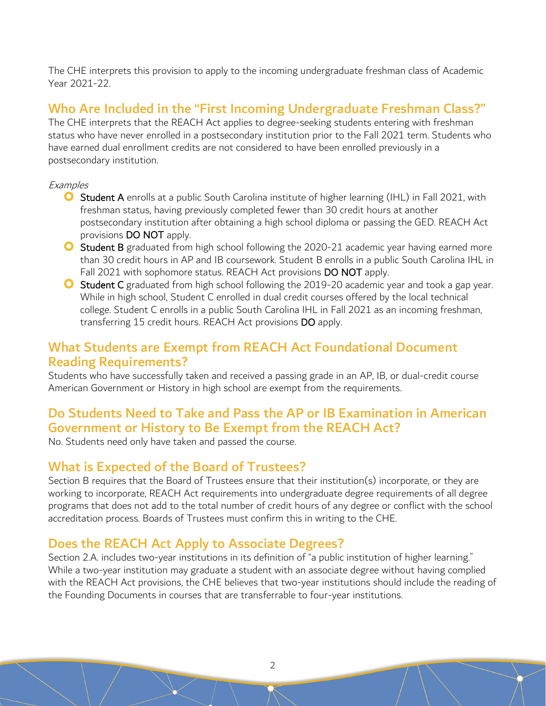The CHE interprets this provision to apply to the incoming undergraduate freshman class of Academic Year 2021-22.

## Who Are Included in the "First Incoming Undergraduate Freshman Class?"

The CHE interprets that the REACH Act applies to degree-seeking students entering with freshman status who have never enrolled in a postsecondary institution prior to the Fall 2021 term. Students who have earned dual enrollment credits are not considered to have been enrolled previously in a postsecondary institution.

#### **Examples**

- **O** Student A enrolls at a public South Carolina institute of higher learning (IHL) in Fall 2021, with freshman status, having previously completed fewer than 30 credit hours at another postsecondary institution after obtaining a high school diploma or passing the GED. REACH Act provisions DO NOT apply.
- **O** Student B graduated from high school following the 2020-21 academic year having earned more than 30 credit hours in AP and IB coursework. Student B enrolls in a public South Carolina IHL in Fall 2021 with sophomore status. REACH Act provisions DO NOT apply.
- **O** Student C graduated from high school following the 2019-20 academic year and took a gap year. While in high school, Student C enrolled in dual credit courses offered by the local technical college. Student C enrolls in a public South Carolina IHL in Fall 2021 as an incoming freshman, transferring 15 credit hours. REACH Act provisions DO apply.

#### What Students are Exempt from REACH Act Foundational Document Reading Requirements?

Students who have successfully taken and received a passing grade in an AP, IB, or dual-credit course American Government or History in high school are exempt from the requirements.

### Do Students Need to Take and Pass the AP or IB Examination in American Government or History to Be Exempt from the REACH Act?

No. Students need only have taken and passed the course.

### What is Expected of the Board of Trustees?

Section B requires that the Board of Trustees ensure that their institution(s) incorporate, or they are working to incorporate, REACH Act requirements into undergraduate degree requirements of all degree programs that does not add to the total number of credit hours of any degree or conflict with the school accreditation process. Boards of Trustees must confirm this in writing to the CHE.

#### Does the REACH Act Apply to Associate Degrees?

Section 2.A. includes two-year institutions in its definition of "a public institution of higher learning." While a two-year institution may graduate a student with an associate degree without having complied with the REACH Act provisions, the CHE believes that two-year institutions should include the reading of the Founding Documents in courses that are transferrable to four-year institutions.

2